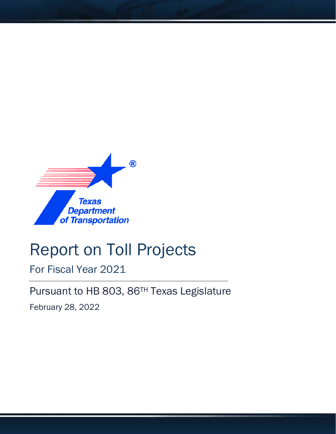

# Report on Toll Projects

For Fiscal Year 2021

Pursuant to HB 803, 86TH Texas Legislature

February 28, 2022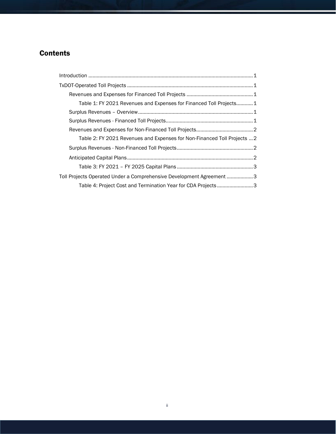## **Contents**

| Table 1: FY 2021 Revenues and Expenses for Financed Toll Projects1       |  |
|--------------------------------------------------------------------------|--|
|                                                                          |  |
|                                                                          |  |
|                                                                          |  |
| Table 2: FY 2021 Revenues and Expenses for Non-Financed Toll Projects  2 |  |
|                                                                          |  |
|                                                                          |  |
|                                                                          |  |
| Toll Projects Operated Under a Comprehensive Development Agreement 3     |  |
| Table 4: Project Cost and Termination Year for CDA Projects3             |  |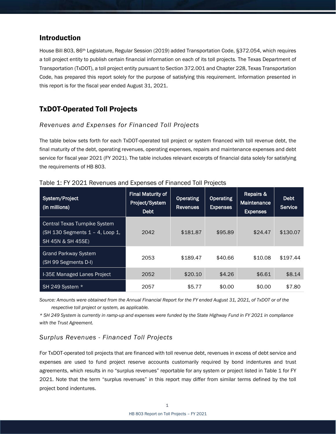## Introduction

House Bill 803, 86th Legislature, Regular Session (2019) added Transportation Code, §372.054, which requires a toll project entity to publish certain financial information on each of its toll projects. The Texas Department of Transportation (TxDOT), a toll project entity pursuant to Section 372.001 and Chapter 228, Texas Transportation Code, has prepared this report solely for the purpose of satisfying this requirement. Information presented in this report is for the fiscal year ended August 31, 2021.

## TxDOT-Operated Toll Projects

#### *Revenues and Expenses for Financed Toll Projects*

The table below sets forth for each TxDOT-operated toll project or system financed with toll revenue debt, the final maturity of the debt, operating revenues, operating expenses, repairs and maintenance expenses and debt service for fiscal year 2021 (FY 2021). The table includes relevant excerpts of financial data solely for satisfying the requirements of HB 803.

| System/Project<br>(in millions)                                                       | <b>Final Maturity of</b><br>Project/System<br><b>Debt</b> | <b>Operating</b><br><b>Revenues</b> | <b>Operating</b><br><b>Expenses</b> | Repairs &<br><b>Maintenance</b><br><b>Expenses</b> | Debt<br>Service |
|---------------------------------------------------------------------------------------|-----------------------------------------------------------|-------------------------------------|-------------------------------------|----------------------------------------------------|-----------------|
| Central Texas Turnpike System<br>(SH 130 Segments 1 - 4, Loop 1,<br>SH 45N & SH 45SE) | 2042                                                      | \$181.87                            | \$95.89                             | \$24.47                                            | \$130.07        |
| <b>Grand Parkway System</b><br>(SH 99 Segments D-I)                                   | 2053                                                      | \$189.47                            | \$40.66                             | \$10.08                                            | \$197.44        |
| I-35E Managed Lanes Project                                                           | 2052                                                      | \$20.10                             | \$4.26                              | \$6.61                                             | \$8.14          |
| SH 249 System *                                                                       | 2057                                                      | \$5.77                              | \$0.00                              | \$0.00                                             | \$7.80          |

Table 1: FY 2021 Revenues and Expenses of Financed Toll Projects

*Source: Amounts were obtained from the Annual Financial Report for the FY ended August 31, 2021, of TxDOT or of the respective toll project or system, as applicable.*

*\* SH 249 System is currently in ramp-up and expenses were funded by the State Highway Fund in FY 2021 in compliance with the Trust Agreement.*

### *Surplus Revenues - Financed Toll Projects*

For TxDOT-operated toll projects that are financed with toll revenue debt, revenues in excess of debt service and expenses are used to fund project reserve accounts customarily required by bond indentures and trust agreements, which results in no "surplus revenues" reportable for any system or project listed in Table 1 for FY 2021. Note that the term "surplus revenues" in this report may differ from similar terms defined by the toll project bond indentures.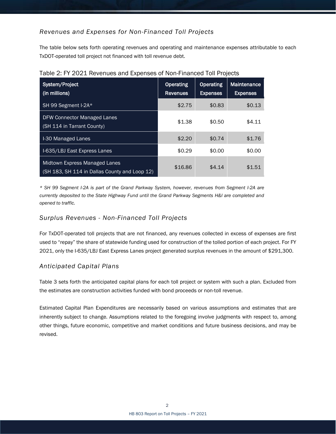## *Revenues and Expenses for Non-Financed Toll Projects*

The table below sets forth operating revenues and operating and maintenance expenses attributable to each TxDOT-operated toll project not financed with toll revenue debt.

| System/Project<br>(in millions)                                                | <b>Operating</b><br><b>Revenues</b> | <b>Operating</b><br><b>Expenses</b> | Maintenance<br><b>Expenses</b> |
|--------------------------------------------------------------------------------|-------------------------------------|-------------------------------------|--------------------------------|
| SH 99 Segment I-2A*                                                            | \$2.75                              | \$0.83                              | \$0.13                         |
| DFW Connector Managed Lanes<br>(SH 114 in Tarrant County)                      | \$1.38                              | \$0.50                              | \$4.11                         |
| I-30 Managed Lanes                                                             | \$2.20                              | \$0.74                              | \$1.76                         |
| I-635/LBJ East Express Lanes                                                   | \$0.29                              | \$0.00                              | \$0.00                         |
| Midtown Express Managed Lanes<br>(SH 183, SH 114 in Dallas County and Loop 12) | \$16.86                             | \$4.14                              | \$1.51                         |

*\* SH 99 Segment I-2A is part of the Grand Parkway System, however, revenues from Segment I-2A are currently deposited to the State Highway Fund until the Grand Parkway Segments H&I are completed and opened to traffic.*

#### *Surplus Revenues - Non-Financed Toll Projects*

For TxDOT-operated toll projects that are not financed, any revenues collected in excess of expenses are first used to "repay" the share of statewide funding used for construction of the tolled portion of each project. For FY 2021, only the I-635/LBJ East Express Lanes project generated surplus revenues in the amount of \$291,300.

#### *Anticipated Capital Plans*

Table 3 sets forth the anticipated capital plans for each toll project or system with such a plan. Excluded from the estimates are construction activities funded with bond proceeds or non-toll revenue.

Estimated Capital Plan Expenditures are necessarily based on various assumptions and estimates that are inherently subject to change. Assumptions related to the foregoing involve judgments with respect to, among other things, future economic, competitive and market conditions and future business decisions, and may be revised.